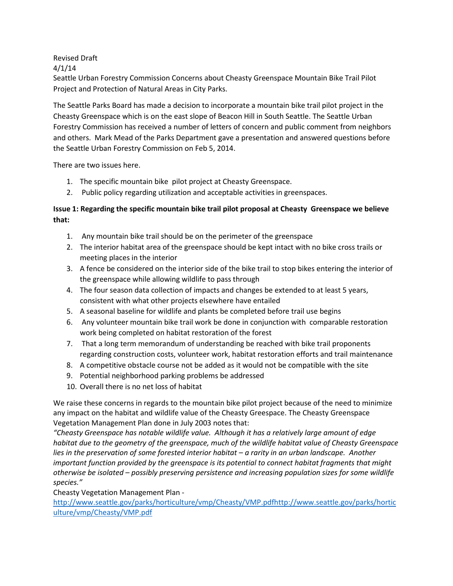## Revised Draft

4/1/14

Seattle Urban Forestry Commission Concerns about Cheasty Greenspace Mountain Bike Trail Pilot Project and Protection of Natural Areas in City Parks.

The Seattle Parks Board has made a decision to incorporate a mountain bike trail pilot project in the Cheasty Greenspace which is on the east slope of Beacon Hill in South Seattle. The Seattle Urban Forestry Commission has received a number of letters of concern and public comment from neighbors and others. Mark Mead of the Parks Department gave a presentation and answered questions before the Seattle Urban Forestry Commission on Feb 5, 2014.

There are two issues here.

- 1. The specific mountain bike pilot project at Cheasty Greenspace.
- 2. Public policy regarding utilization and acceptable activities in greenspaces.

## **Issue 1: Regarding the specific mountain bike trail pilot proposal at Cheasty Greenspace we believe that:**

- 1. Any mountain bike trail should be on the perimeter of the greenspace
- 2. The interior habitat area of the greenspace should be kept intact with no bike cross trails or meeting places in the interior
- 3. A fence be considered on the interior side of the bike trail to stop bikes entering the interior of the greenspace while allowing wildlife to pass through
- 4. The four season data collection of impacts and changes be extended to at least 5 years, consistent with what other projects elsewhere have entailed
- 5. A seasonal baseline for wildlife and plants be completed before trail use begins
- 6. Any volunteer mountain bike trail work be done in conjunction with comparable restoration work being completed on habitat restoration of the forest
- 7. That a long term memorandum of understanding be reached with bike trail proponents regarding construction costs, volunteer work, habitat restoration efforts and trail maintenance
- 8. A competitive obstacle course not be added as it would not be compatible with the site
- 9. Potential neighborhood parking problems be addressed
- 10. Overall there is no net loss of habitat

We raise these concerns in regards to the mountain bike pilot project because of the need to minimize any impact on the habitat and wildlife value of the Cheasty Greespace. The Cheasty Greenspace Vegetation Management Plan done in July 2003 notes that:

*"Cheasty Greenspace has notable wildlife value. Although it has a relatively large amount of edge habitat due to the geometry of the greenspace, much of the wildlife habitat value of Cheasty Greenspace lies in the preservation of some forested interior habitat – a rarity in an urban landscape. Another important function provided by the greenspace is its potential to connect habitat fragments that might otherwise be isolated – possibly preserving persistence and increasing population sizes for some wildlife species."*

Cheasty Vegetation Management Plan -

[http://www.seattle.gov/parks/horticulture/vmp/Cheasty/VMP.pdfhttp://www.seattle.gov/parks/hortic](http://www.seattle.gov/parks/horticulture/vmp/Cheasty/VMP.pdfhttp:/www.seattle.gov/parks/horticulture/vmp/Cheasty/VMP.pdf) [ulture/vmp/Cheasty/VMP.pdf](http://www.seattle.gov/parks/horticulture/vmp/Cheasty/VMP.pdfhttp:/www.seattle.gov/parks/horticulture/vmp/Cheasty/VMP.pdf)